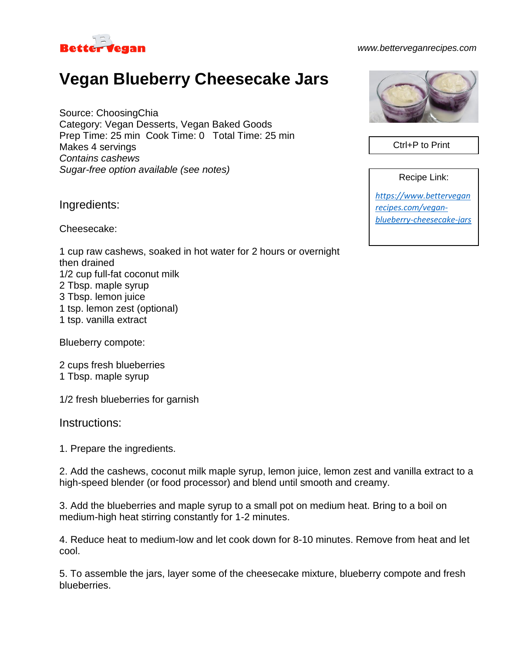

## *www.betterveganrecipes.com*

## **Vegan Blueberry Cheesecake Jars**

Source: ChoosingChia Category: Vegan Desserts, Vegan Baked Goods Prep Time: 25 min Cook Time: 0 Total Time: 25 min Makes 4 servings *Contains cashews Sugar-free option available (see notes)*

Ingredients:

Cheesecake:

1 cup raw cashews, soaked in hot water for 2 hours or overnight then drained 1/2 cup full-fat coconut milk 2 Tbsp. maple syrup 3 Tbsp. lemon juice 1 tsp. lemon zest (optional) 1 tsp. vanilla extract

Blueberry compote:

2 cups fresh blueberries 1 Tbsp. maple syrup

1/2 fresh blueberries for garnish

Instructions:

1. Prepare the ingredients.

2. Add the cashews, coconut milk maple syrup, lemon juice, lemon zest and vanilla extract to a high-speed blender (or food processor) and blend until smooth and creamy.

3. Add the blueberries and maple syrup to a small pot on medium heat. Bring to a boil on medium-high heat stirring constantly for 1-2 minutes.

4. Reduce heat to medium-low and let cook down for 8-10 minutes. Remove from heat and let cool.

5. To assemble the jars, layer some of the cheesecake mixture, blueberry compote and fresh blueberries.



Ctrl+P to Print

Recipe Link:

*[https://www.bettervegan](https://www.betterveganrecipes.com/vegan-blueberry-cheesecake-jars) [recipes.com/vegan](https://www.betterveganrecipes.com/vegan-blueberry-cheesecake-jars)[blueberry-cheesecake-jars](https://www.betterveganrecipes.com/vegan-blueberry-cheesecake-jars)*